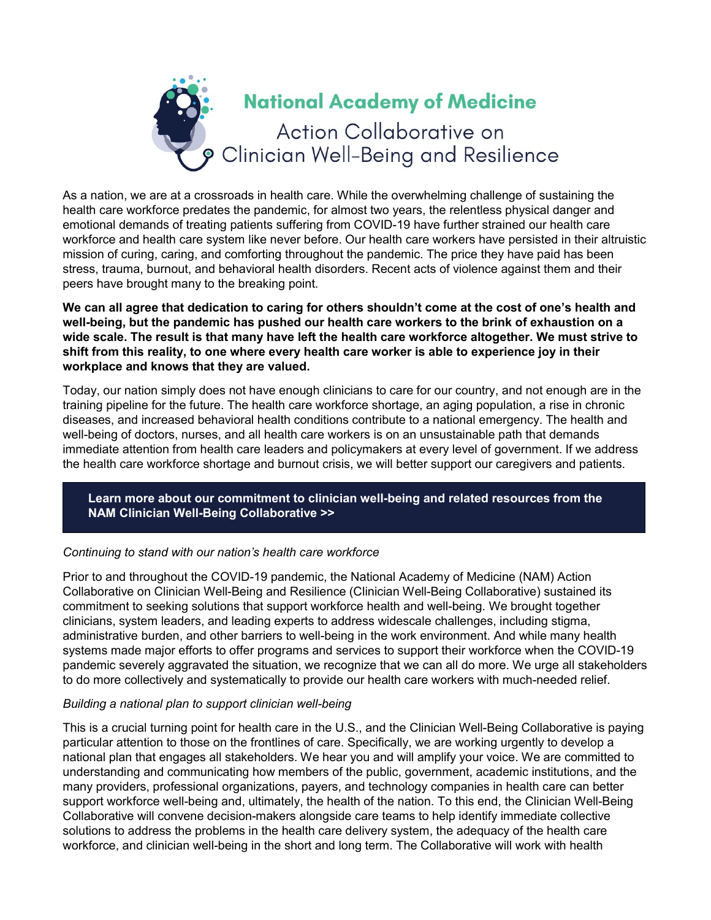

As a nation, we are at a crossroads in health care. While the overwhelming challenge of sustaining the health care workforce predates the pandemic, for almost two years, the relentless physical danger and emotional demands of treating patients suffering from COVID-19 have further strained our health care workforce and health care system like never before. Our health care workers have persisted in their altruistic mission of curing, caring, and comforting throughout the pandemic. The price they have paid has been stress, trauma, burnout, and behavioral health disorders. Recent acts of violence against them and their peers have brought many to the breaking point.

**We can all agree that dedication to caring for others shouldn't come at the cost of one's health and well-being, but the pandemic has pushed our health care workers to the brink of exhaustion on a wide scale. The result is that many have left the health care workforce altogether. We must strive to shift from this reality, to one where every health care worker is able to experience joy in their workplace and knows that they are valued.**

Today, our nation simply does not have enough clinicians to care for our country, and not enough are in the training pipeline for the future. The health care workforce shortage, an aging population, a rise in chronic diseases, and increased behavioral health conditions contribute to a national emergency. The health and well-being of doctors, nurses, and all health care workers is on an unsustainable path that demands immediate attention from health care leaders and policymakers at every level of government. If we address the health care workforce shortage and burnout crisis, we will better support our caregivers and patients.

**[Learn more about our commitment to clinician well-being and related resources from the](https://nam.edu/initiatives/clinician-resilience-and-well-being/)  NAM [Clinician Well-Being Collaborative >>](https://nam.edu/initiatives/clinician-resilience-and-well-being/)**

## *Continuing to stand with our nation's health care workforce*

Prior to and throughout the COVID-19 pandemic, the National Academy of Medicine (NAM) Action Collaborative on Clinician Well-Being and Resilience (Clinician Well-Being Collaborative) sustained its commitment to seeking solutions that support workforce health and well-being. We brought together clinicians, system leaders, and leading experts to address widescale challenges, including stigma, administrative burden, and other barriers to well-being in the work environment. And while many health systems made major efforts to offer programs and services to support their workforce when the COVID-19 pandemic severely aggravated the situation, we recognize that we can all do more. We urge all stakeholders to do more collectively and systematically to provide our health care workers with much-needed relief.

## *Building a national plan to support clinician well-being*

This is a crucial turning point for health care in the U.S., and the Clinician Well-Being Collaborative is paying particular attention to those on the frontlines of care. Specifically, we are working urgently to develop a national plan that engages all stakeholders. We hear you and will amplify your voice. We are committed to understanding and communicating how members of the public, government, academic institutions, and the many providers, professional organizations, payers, and technology companies in health care can better support workforce well-being and, ultimately, the health of the nation. To this end, the Clinician Well-Being Collaborative will convene decision-makers alongside care teams to help identify immediate collective solutions to address the problems in the health care delivery system, the adequacy of the health care workforce, and clinician well-being in the short and long term. The Collaborative will work with health